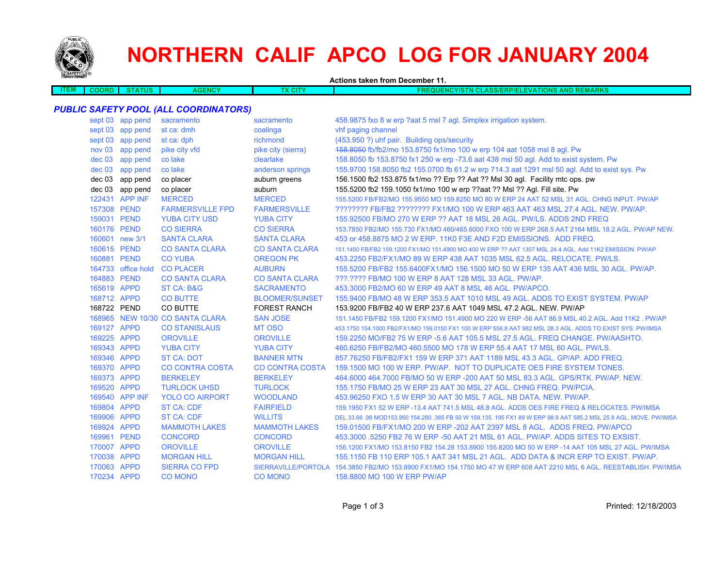

# **NORTHERN CALIF APCO LOG FOR JANUARY 2004**

**Actions taken from December 11.**

| - 1 1 1 1 | ORF | TUS | . | v. | <b>TMADKS</b><br>IONS<br>40 Z<br>וווכ<br>יומר<br>$-88/2$<br>лю<br>- 11<br>ıc<br>Æ.<br><b>AND</b><br>וווסו<br>N<br><b>INEMANNS</b><br>:NF/L<br>36 L<br><b>All Contracts</b> |
|-----------|-----|-----|---|----|----------------------------------------------------------------------------------------------------------------------------------------------------------------------------|
|           |     |     |   |    |                                                                                                                                                                            |
|           |     |     |   |    |                                                                                                                                                                            |

## *PUBLIC SAFETY POOL (ALL COORDINATORS)*

|          | sept 03 app pend   | sacramento                      | sacramento             | 458.9875 fxo 8 w erp ?aat 5 msl 7 agl. Simplex irrigation system.                                                     |
|----------|--------------------|---------------------------------|------------------------|-----------------------------------------------------------------------------------------------------------------------|
|          | sept 03 app pend   | st ca: dmh                      | coalinga               | vhf paging channel                                                                                                    |
|          | sept 03 app pend   | st ca: dph                      | richmond               | (453.950 ?) uhf pair. Building ops/security                                                                           |
| nov 03   | app pend           | pike city vfd                   | pike city (sierra)     | 458.8050 fb/fb2/mo 153.8750 fx1/mo 100 w erp 104 aat 1058 msl 8 agl. Pw                                               |
| $dec$ 03 | app pend           | co lake                         | clearlake              | 158.8050 fb 153.8750 fx1 250 w erp -73.6 aat 438 msl 50 agl. Add to exist system. Pw                                  |
| $dec$ 03 | app pend           | co lake                         | anderson springs       | 155.9700 158.8050 fb2 155.0700 fb 61.2 w erp 714.3 aat 1291 msl 50 agl. Add to exist sys. Pw                          |
|          | dec 03 app pend    | co placer                       | auburn greens          | 156.1500 fb2 153.875 fx1/mo ?? Erp ?? Aat ?? Msl 30 agl. Facility mtc ops. pw                                         |
|          | dec 03 app pend    | co placer                       | auburn                 | 155.5200 fb2 159.1050 fx1/mo 100 w erp ??aat ?? Msl ?? Agl. Fill site. Pw                                             |
|          | 122431 APP INF     | <b>MERCED</b>                   | <b>MERCED</b>          | 155,5200 FB/FB2/MO 155,9550 MO 159,8250 MO 80 W ERP 24 AAT 52 MSL 31 AGL, CHNG INPUT, PW/AP                           |
|          | 157308 PEND        | <b>FARMERSVILLE FPD</b>         | <b>FARMERSVILLE</b>    | ???????? FB/FB2 ???????? FX1/MO 100 W ERP 463 AAT 463 MSL 27.4 AGL. NEW. PW/AP.                                       |
|          | 159031 PEND        | <b>YUBA CITY USD</b>            | <b>YUBA CITY</b>       | 155,92500 FB/MO 270 W ERP ?? AAT 18 MSL 26 AGL, PW/LS, ADDS 2ND FREQ                                                  |
|          | 160176 PEND        | <b>CO SIERRA</b>                | <b>CO SIERRA</b>       | 153.7850 FB2/MO 155.730 FX1/MO 460/465.6000 FXO 100 W ERP 268.5 AAT 2164 MSL 18.2 AGL, PW/AP NEW.                     |
|          | 160601 new 3/1     | <b>SANTA CLARA</b>              | <b>SANTA CLARA</b>     | 453 or 458,8875 MO 2 W ERP, 11K0 F3E AND F2D EMISSIONS. ADD FREQ.                                                     |
|          | 160615 PEND        | <b>CO SANTA CLARA</b>           | <b>CO SANTA CLARA</b>  | 151.1450 FB/FB2 159.1200 FX1/MO 151.4900 MO 400 W ERP ?? AAT 1307 MSL 24.4 AGL. Add 11K2 EMISSION. PW/AP              |
|          | 160881 PEND        | <b>CO YUBA</b>                  | <b>OREGON PK</b>       | 453.2250 FB2/FX1/MO 89 W ERP 438 AAT 1035 MSL 62.5 AGL, RELOCATE, PW/LS.                                              |
|          | 164733 office hold | <b>CO PLACER</b>                | <b>AUBURN</b>          | 155.5200 FB/FB2 155.6400FX1/MO 156.1500 MO 50 W ERP 135 AAT 436 MSL 30 AGL. PW/AP.                                    |
|          | 164883 PEND        | <b>CO SANTA CLARA</b>           | <b>CO SANTA CLARA</b>  | ???.???? FB/MO 100 W ERP 8 AAT 128 MSL 33 AGL. PW/AP.                                                                 |
|          | 165619 APPD        | <b>ST CA: B&amp;G</b>           | <b>SACRAMENTO</b>      | 453,3000 FB2/MO 60 W ERP 49 AAT 8 MSL 46 AGL, PW/APCO.                                                                |
|          | 168712 APPD        | <b>CO BUTTE</b>                 | <b>BLOOMER/SUNSET</b>  | 155,9400 FB/MO 48 W ERP 353.5 AAT 1010 MSL 49 AGL. ADDS TO EXIST SYSTEM, PW/AP                                        |
|          | 168722 PEND        | CO BUTTE                        | <b>FOREST RANCH</b>    | 153,9200 FB/FB2 40 W ERP 237.6 AAT 1049 MSL 47.2 AGL, NEW, PW/AP                                                      |
|          |                    | 168965 NEW 10/30 CO SANTA CLARA | <b>SAN JOSE</b>        | 151.1450 FB/FB2 159.1200 FX1/MO 151.4900 MO 220 W ERP -56 AAT 86.9 MSL 40.2 AGL, Add 11K2, PW/AP                      |
|          | 169127 APPD        | <b>CO STANISLAUS</b>            | MT OSO                 | 453,1750 154,1000 FB2/FX1/MO 159,0150 FX1 100 W ERP 556,8 AAT 982 MSL 28.3 AGL, ADDS TO EXIST SYS, PW/IMSA            |
|          | 169225 APPD        | <b>OROVILLE</b>                 | <b>OROVILLE</b>        | 159.2250 MO/FB2 75 W ERP -5.6 AAT 105.5 MSL 27.5 AGL. FREQ CHANGE. PW/AASHTO.                                         |
|          | 169343 APPD        | <b>YUBA CITY</b>                | <b>YUBA CITY</b>       | 460.6250 FB/FB2/MO 460.5500 MO 178 W ERP 55.4 AAT 17 MSL 60 AGL, PW/LS.                                               |
|          | 169346 APPD        | <b>ST CA: DOT</b>               | <b>BANNER MTN</b>      | 857.76250 FB/FB2/FX1 159 W ERP 371 AAT 1189 MSL 43.3 AGL, GP/AP, ADD FREQ.                                            |
|          | 169370 APPD        | <b>CO CONTRA COSTA</b>          | <b>CO CONTRA COSTA</b> | 159,1500 MO 100 W ERP. PW/AP. NOT TO DUPLICATE OES FIRE SYSTEM TONES.                                                 |
|          | 169373 APPD        | <b>BERKELEY</b>                 | <b>BERKELEY</b>        | 464,6000 464,7000 FB/MO 50 W ERP -200 AAT 50 MSL 83.3 AGL, GPS/RTK, PW/AP, NEW.                                       |
|          | 169520 APPD        | <b>TURLOCK UHSD</b>             | <b>TURLOCK</b>         | 155,1750 FB/MO 25 W ERP 23 AAT 30 MSL 27 AGL, CHNG FREQ, PW/PCIA.                                                     |
|          | 169540 APP INF     | <b>YOLO CO AIRPORT</b>          | <b>WOODLAND</b>        | 453,96250 FXO 1.5 W ERP 30 AAT 30 MSL 7 AGL, NB DATA, NEW, PW/AP.                                                     |
|          | 169804 APPD        | <b>ST CA: CDF</b>               | <b>FAIRFIELD</b>       | 159.1950 FX1 52 W ERP -13.4 AAT 741.5 MSL 48.8 AGL, ADDS OES FIRE FREQ & RELOCATES, PW/IMSA                           |
|          | 169906 APPD        | <b>ST CA: CDF</b>               | <b>WILLITS</b>         | DEL 33.66 .98 MOD153.950 154.280 .385 FB 50 W 159.135 .195 FX1 89 W ERP 98.9 AAT 585.2 MSL 25.9 AGL, MOVE, PW/IMSA    |
|          | 169924 APPD        | <b>MAMMOTH LAKES</b>            | <b>MAMMOTH LAKES</b>   | 159.01500 FB/FX1/MO 200 W ERP -202 AAT 2397 MSL 8 AGL. ADDS FREQ. PW/APCO                                             |
|          | 169961 PEND        | <b>CONCORD</b>                  | <b>CONCORD</b>         | 453.3000 .5250 FB2 76 W ERP -50 AAT 21 MSL 61 AGL. PW/AP. ADDS SITES TO EXSIST.                                       |
|          | 170007 APPD        | <b>OROVILLE</b>                 | <b>OROVILLE</b>        | 156.1200 FX1/MO 153.8150 FB2 154.28 153.8900 155.8200 MO 50 W ERP -14 AAT 105 MSL 27 AGL. PW/IMSA                     |
|          | 170038 APPD        | <b>MORGAN HILL</b>              | <b>MORGAN HILL</b>     | 155,1150 FB 110 ERP 105,1 AAT 341 MSL 21 AGL. ADD DATA & INCR ERP TO EXIST, PW/AP.                                    |
|          | 170063 APPD        | <b>SIERRA CO FPD</b>            |                        | SIERRAVILLE/PORTOLA 154.3850 FB2/MO 153.8900 FX1/MO 154.1750 MO 47 W ERP 608 AAT 2210 MSL 6 AGL. REESTABLISH, PW/IMSA |
|          | 170234 APPD        | <b>CO MONO</b>                  | <b>CO MONO</b>         | 158,8800 MO 100 W ERP PW/AP                                                                                           |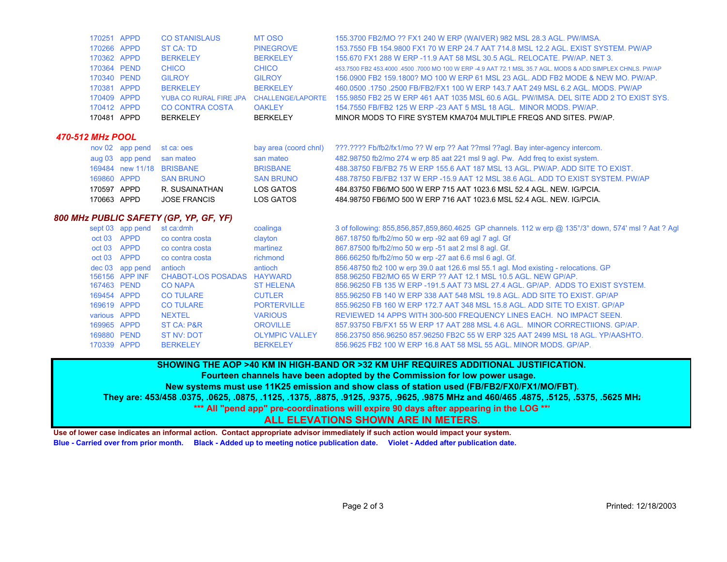| 170481 APPD | <b>BERKELEY</b>        | <b>BERKELEY</b>  | MINOR MODS TO FIRE SYSTEM KMA704 MULTIPLE FREQS AND SITES. PW/AP.                                                               |
|-------------|------------------------|------------------|---------------------------------------------------------------------------------------------------------------------------------|
| 170412 APPD | <b>CO CONTRA COSTA</b> | <b>OAKLEY</b>    | 154.7550 FB/FB2 125 W ERP -23 AAT 5 MSL 18 AGL. MINOR MODS, PW/AP.                                                              |
| 170409 APPD |                        |                  | YUBA CO RURAL FIRE JPA CHALLENGE/LAPORTE 155.9850 FB2 25 W ERP 461 AAT 1035 MSL 60.6 AGL. PW/IMSA, DEL SITE ADD 2 TO EXIST SYS. |
| 170381 APPD | <b>BERKELEY</b>        | <b>BERKELEY</b>  | 460.0500 .1750 .2500 FB/FB2/FX1 100 W ERP 143.7 AAT 249 MSL 6.2 AGL, MODS, PW/AP                                                |
| 170340 PEND | <b>GILROY</b>          | <b>GILROY</b>    | 156,0900 FB2 159,1800? MO 100 W ERP 61 MSL 23 AGL, ADD FB2 MODE & NEW MO, PW/AP,                                                |
| 170364 PEND | <b>CHICO</b>           | <b>CHICO</b>     | 453,7500 FB2 453,4000 .4500 .7000 MO 100 W ERP -4.9 AAT 72.1 MSL 35.7 AGL, MODS & ADD SIMPLEX CHNLS, PW/AP                      |
| 170362 APPD | <b>BERKELEY</b>        | <b>BERKELEY</b>  | 155,670 FX1 288 W ERP -11.9 AAT 58 MSL 30.5 AGL, RELOCATE, PW/AP, NET 3.                                                        |
| 170266 APPD | ST CA: TD              | <b>PINEGROVE</b> | 153.7550 FB 154.9800 FX1 70 W ERP 24.7 AAT 714.8 MSL 12.2 AGL, EXIST SYSTEM, PW/AP                                              |
| 170251 APPD | <b>CO STANISLAUS</b>   | MT OSO           | 155.3700 FB2/MO ?? FX1 240 W ERP (WAIVER) 982 MSL 28.3 AGL. PW/IMSA.                                                            |

#### *470-512 MHz POOL*

|             | nov 02 app pend st ca: oes |                           | bay area (coord chnl) | ???.???? Fb/fb2/fx1/mo ?? W erp ?? Aat ??msl ??agl. Bay inter-agency intercom.   |
|-------------|----------------------------|---------------------------|-----------------------|----------------------------------------------------------------------------------|
|             | aug 03 app pend san mateo  |                           | san mateo             | 482.98750 fb2/mo 274 w erp 85 aat 221 msl 9 agl. Pw. Add freg to exist system.   |
|             |                            | 169484 new 11/18 BRISBANE | <b>BRISBANE</b>       | 488,38750 FB/FB2 75 W ERP 155.6 AAT 187 MSL 13 AGL, PW/AP, ADD SITE TO EXIST.    |
| 169860 APPD |                            | <b>SAN BRUNO</b>          | <b>SAN BRUNO</b>      | 488.78750 FB/FB2 137 W ERP -15.9 AAT 12 MSL 38.6 AGL. ADD TO EXIST SYSTEM, PW/AP |
| 170597 APPD |                            | R. SUSAINATHAN            | LOS GATOS             | 484.83750 FB6/MO 500 W ERP 715 AAT 1023.6 MSL 52.4 AGL. NEW. IG/PCIA.            |
| 170663 APPD |                            | <b>JOSE FRANCIS</b>       | LOS GATOS             | 484,98750 FB6/MO 500 W ERP 716 AAT 1023.6 MSL 52.4 AGL, NEW, IG/PCIA.            |

#### *800 MHz PUBLIC SAFETY (GP, YP, GF, YF)*

|              | sept 03 app pend | st ca:dmh                  | coalinga              | 3 of following: 855,856,857,859,860.4625 GP channels. 112 w erp @ 135°/3° down, 574' msl ? Aat ? Agl |
|--------------|------------------|----------------------------|-----------------------|------------------------------------------------------------------------------------------------------|
| oct 03 APPD  |                  | co contra costa            | clayton               | 867.18750 fb/fb2/mo 50 w erp -92 aat 69 agl 7 agl. Gf                                                |
| oct 03 APPD  |                  | co contra costa            | martinez              | 867.87500 fb/fb2/mo 50 w erp -51 aat 2 msl 8 agl. Gf.                                                |
| oct 03 APPD  |                  | co contra costa            | richmond              | 866.66250 fb/fb2/mo 50 w erp -27 aat 6.6 msl 6 agl. Gf.                                              |
|              | dec 03 app pend  | antioch                    | antioch               | 856.48750 fb2 100 w erp 39.0 aat 126.6 msl 55.1 agl. Mod existing - relocations. GP                  |
|              | 156156 APP INF   | CHABOT-LOS POSADAS HAYWARD |                       | 858,96250 FB2/MO 65 W ERP ?? AAT 12.1 MSL 10.5 AGL, NEW GP/AP.                                       |
| 167463 PEND  |                  | <b>CO NAPA</b>             | <b>ST HELENA</b>      | 856,96250 FB 135 W ERP -191.5 AAT 73 MSL 27.4 AGL, GP/AP, ADDS TO EXIST SYSTEM.                      |
| 169454 APPD  |                  | <b>CO TULARE</b>           | <b>CUTLER</b>         | 855,96250 FB 140 W ERP 338 AAT 548 MSL 19.8 AGL, ADD SITE TO EXIST, GP/AP                            |
| 169619 APPD  |                  | <b>CO TULARE</b>           | <b>PORTERVILLE</b>    | 855,96250 FB 160 W ERP 172.7 AAT 348 MSL 15.8 AGL, ADD SITE TO EXIST, GP/AP                          |
| various APPD |                  | <b>NEXTEL</b>              | <b>VARIOUS</b>        | REVIEWED 14 APPS WITH 300-500 FREQUENCY LINES EACH. NO IMPACT SEEN.                                  |
| 169965 APPD  |                  | ST CA: P&R                 | <b>OROVILLE</b>       | 857,93750 FB/FX1 55 W ERP 17 AAT 288 MSL 4.6 AGL. MINOR CORRECTIIONS, GP/AP.                         |
| 169880 PEND  |                  | ST NV: DOT                 | <b>OLYMPIC VALLEY</b> | 856.23750 856.96250 857.96250 FB2C 55 W ERP 325 AAT 2499 MSL 18 AGL, YP/AASHTO.                      |
| 170339 APPD  |                  | <b>BERKELEY</b>            | <b>BERKELEY</b>       | 856,9625 FB2 100 W ERP 16.8 AAT 58 MSL 55 AGL, MINOR MODS, GP/AP.                                    |

**SHOWING THE AOP >40 KM IN HIGH-BAND OR >32 KM UHF REQUIRES ADDITIONAL JUSTIFICATION.** 

**Fourteen channels have been adopted by the Commission for low power usage.** 

**New systems must use 11K25 emission and show class of station used (FB/FB2/FX0/FX1/MO/FBT).**

**They are: 453/458 .0375, .0625, .0875, .1125, .1375, .8875, .9125, .9375, .9625, .9875 MHz and 460/465 .4875, .5125, .5375, .5625 MHz**

**\*\*\* All "pend app" pre-coordinations will expire 90 days after appearing in the LOG \*\*\***

### **ALL ELEVATIONS SHOWN ARE IN METERS.**

**Use of lower case indicates an informal action. Contact appropriate advisor immediately if such action would impact your system. Blue - Carried over from prior month. Black - Added up to meeting notice publication date. Violet - Added after publication date.**